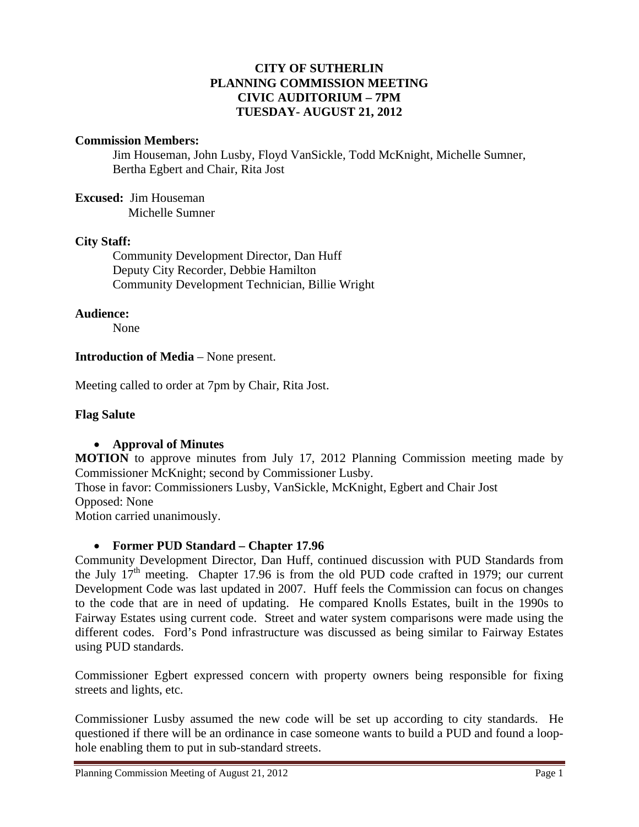## **CITY OF SUTHERLIN PLANNING COMMISSION MEETING CIVIC AUDITORIUM – 7PM TUESDAY- AUGUST 21, 2012**

### **Commission Members:**

Jim Houseman, John Lusby, Floyd VanSickle, Todd McKnight, Michelle Sumner, Bertha Egbert and Chair, Rita Jost

**Excused:** Jim Houseman Michelle Sumner

### **City Staff:**

 Community Development Director, Dan Huff Deputy City Recorder, Debbie Hamilton Community Development Technician, Billie Wright

#### **Audience:**

None

### **Introduction of Media** – None present.

Meeting called to order at 7pm by Chair, Rita Jost.

### **Flag Salute**

### **Approval of Minutes**

**MOTION** to approve minutes from July 17, 2012 Planning Commission meeting made by Commissioner McKnight; second by Commissioner Lusby. Those in favor: Commissioners Lusby, VanSickle, McKnight, Egbert and Chair Jost Opposed: None

Motion carried unanimously.

# **Former PUD Standard – Chapter 17.96**

Community Development Director, Dan Huff, continued discussion with PUD Standards from the July  $17<sup>th</sup>$  meeting. Chapter 17.96 is from the old PUD code crafted in 1979; our current Development Code was last updated in 2007. Huff feels the Commission can focus on changes to the code that are in need of updating. He compared Knolls Estates, built in the 1990s to Fairway Estates using current code. Street and water system comparisons were made using the different codes. Ford's Pond infrastructure was discussed as being similar to Fairway Estates using PUD standards.

Commissioner Egbert expressed concern with property owners being responsible for fixing streets and lights, etc.

Commissioner Lusby assumed the new code will be set up according to city standards. He questioned if there will be an ordinance in case someone wants to build a PUD and found a loophole enabling them to put in sub-standard streets.